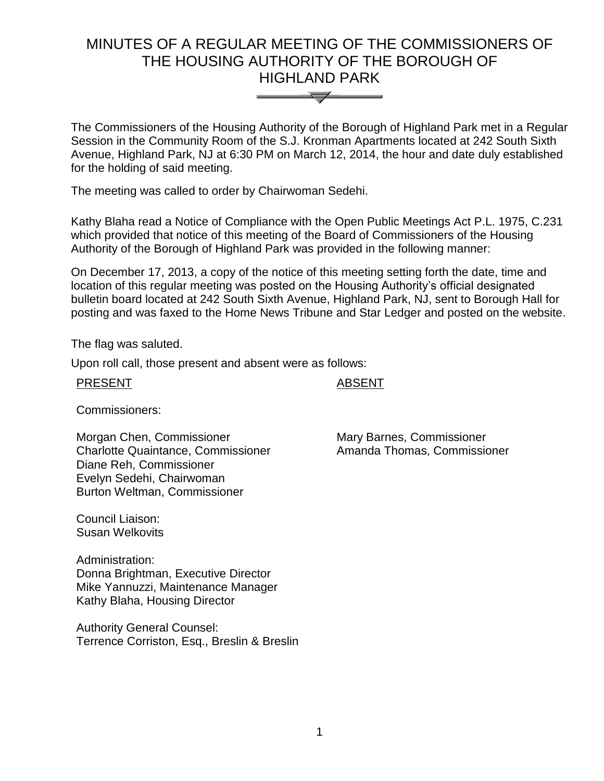# MINUTES OF A REGULAR MEETING OF THE COMMISSIONERS OF THE HOUSING AUTHORITY OF THE BOROUGH OF HIGHLAND PARK



The Commissioners of the Housing Authority of the Borough of Highland Park met in a Regular Session in the Community Room of the S.J. Kronman Apartments located at 242 South Sixth Avenue, Highland Park, NJ at 6:30 PM on March 12, 2014, the hour and date duly established for the holding of said meeting.

The meeting was called to order by Chairwoman Sedehi.

Kathy Blaha read a Notice of Compliance with the Open Public Meetings Act P.L. 1975, C.231 which provided that notice of this meeting of the Board of Commissioners of the Housing Authority of the Borough of Highland Park was provided in the following manner:

On December 17, 2013, a copy of the notice of this meeting setting forth the date, time and location of this regular meeting was posted on the Housing Authority's official designated bulletin board located at 242 South Sixth Avenue, Highland Park, NJ, sent to Borough Hall for posting and was faxed to the Home News Tribune and Star Ledger and posted on the website.

The flag was saluted.

Upon roll call, those present and absent were as follows:

PRESENT ABSENT

Commissioners:

Morgan Chen, Commissioner Charlotte Quaintance, Commissioner Diane Reh, Commissioner Evelyn Sedehi, Chairwoman Burton Weltman, Commissioner

Council Liaison: Susan Welkovits

Administration: Donna Brightman, Executive Director Mike Yannuzzi, Maintenance Manager Kathy Blaha, Housing Director

Authority General Counsel: Terrence Corriston, Esq., Breslin & Breslin Mary Barnes, Commissioner Amanda Thomas, Commissioner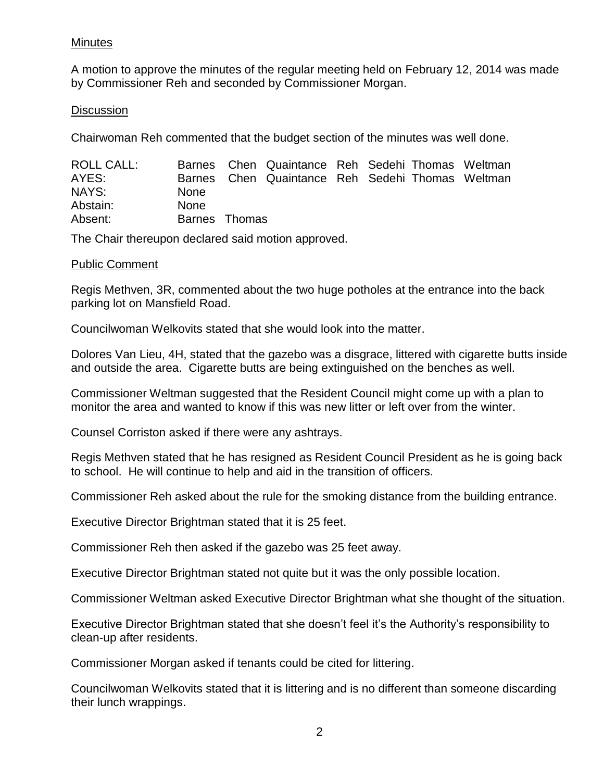### Minutes

A motion to approve the minutes of the regular meeting held on February 12, 2014 was made by Commissioner Reh and seconded by Commissioner Morgan.

# **Discussion**

Chairwoman Reh commented that the budget section of the minutes was well done.

| ROLL CALL: |               | Barnes Chen Quaintance Reh Sedehi Thomas Weltman |  |  |
|------------|---------------|--------------------------------------------------|--|--|
| AYES:      |               | Barnes Chen Quaintance Reh Sedehi Thomas Weltman |  |  |
| NAYS:      | <b>None</b>   |                                                  |  |  |
| Abstain:   | <b>None</b>   |                                                  |  |  |
| Absent:    | Barnes Thomas |                                                  |  |  |

The Chair thereupon declared said motion approved.

### Public Comment

Regis Methven, 3R, commented about the two huge potholes at the entrance into the back parking lot on Mansfield Road.

Councilwoman Welkovits stated that she would look into the matter.

Dolores Van Lieu, 4H, stated that the gazebo was a disgrace, littered with cigarette butts inside and outside the area. Cigarette butts are being extinguished on the benches as well.

Commissioner Weltman suggested that the Resident Council might come up with a plan to monitor the area and wanted to know if this was new litter or left over from the winter.

Counsel Corriston asked if there were any ashtrays.

Regis Methven stated that he has resigned as Resident Council President as he is going back to school. He will continue to help and aid in the transition of officers.

Commissioner Reh asked about the rule for the smoking distance from the building entrance.

Executive Director Brightman stated that it is 25 feet.

Commissioner Reh then asked if the gazebo was 25 feet away.

Executive Director Brightman stated not quite but it was the only possible location.

Commissioner Weltman asked Executive Director Brightman what she thought of the situation.

Executive Director Brightman stated that she doesn't feel it's the Authority's responsibility to clean-up after residents.

Commissioner Morgan asked if tenants could be cited for littering.

Councilwoman Welkovits stated that it is littering and is no different than someone discarding their lunch wrappings.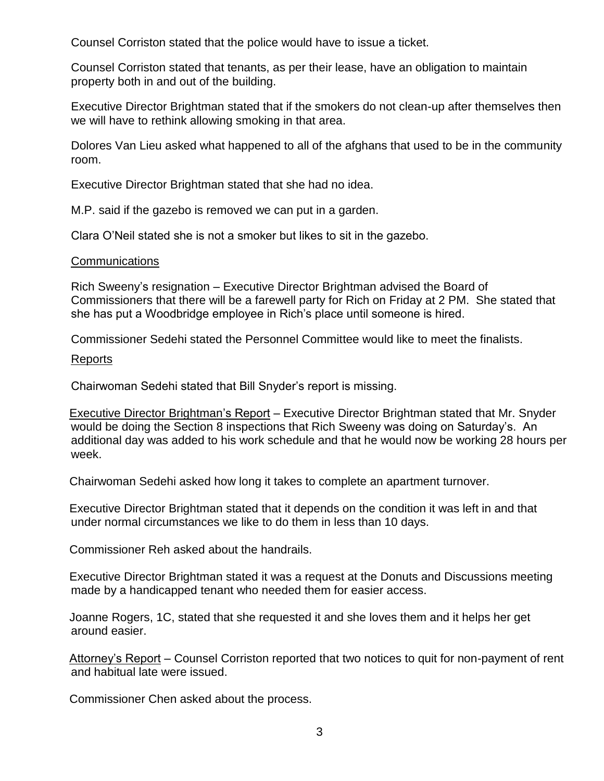Counsel Corriston stated that the police would have to issue a ticket.

Counsel Corriston stated that tenants, as per their lease, have an obligation to maintain property both in and out of the building.

Executive Director Brightman stated that if the smokers do not clean-up after themselves then we will have to rethink allowing smoking in that area.

Dolores Van Lieu asked what happened to all of the afghans that used to be in the community room.

Executive Director Brightman stated that she had no idea.

M.P. said if the gazebo is removed we can put in a garden.

Clara O'Neil stated she is not a smoker but likes to sit in the gazebo.

### **Communications**

Rich Sweeny's resignation – Executive Director Brightman advised the Board of Commissioners that there will be a farewell party for Rich on Friday at 2 PM. She stated that she has put a Woodbridge employee in Rich's place until someone is hired.

Commissioner Sedehi stated the Personnel Committee would like to meet the finalists.

#### Reports

Chairwoman Sedehi stated that Bill Snyder's report is missing.

Executive Director Brightman's Report – Executive Director Brightman stated that Mr. Snyder would be doing the Section 8 inspections that Rich Sweeny was doing on Saturday's. An additional day was added to his work schedule and that he would now be working 28 hours per week.

Chairwoman Sedehi asked how long it takes to complete an apartment turnover.

Executive Director Brightman stated that it depends on the condition it was left in and that under normal circumstances we like to do them in less than 10 days.

Commissioner Reh asked about the handrails.

Executive Director Brightman stated it was a request at the Donuts and Discussions meeting made by a handicapped tenant who needed them for easier access.

Joanne Rogers, 1C, stated that she requested it and she loves them and it helps her get around easier.

Attorney's Report - Counsel Corriston reported that two notices to quit for non-payment of rent and habitual late were issued.

Commissioner Chen asked about the process.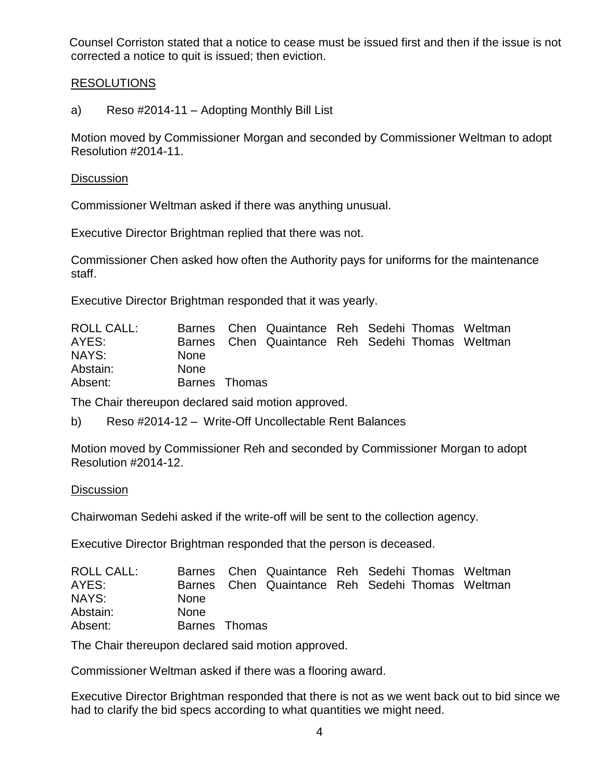Counsel Corriston stated that a notice to cease must be issued first and then if the issue is not corrected a notice to quit is issued; then eviction.

### RESOLUTIONS

# a) Reso #2014-11 – Adopting Monthly Bill List

Motion moved by Commissioner Morgan and seconded by Commissioner Weltman to adopt Resolution #2014-11.

#### **Discussion**

Commissioner Weltman asked if there was anything unusual.

Executive Director Brightman replied that there was not.

Commissioner Chen asked how often the Authority pays for uniforms for the maintenance staff.

Executive Director Brightman responded that it was yearly.

| <b>ROLL CALL:</b> |               | Barnes Chen Quaintance Reh Sedehi Thomas Weltman |  |  |
|-------------------|---------------|--------------------------------------------------|--|--|
| AYES:             |               | Barnes Chen Quaintance Reh Sedehi Thomas Weltman |  |  |
| NAYS:             | <b>None</b>   |                                                  |  |  |
| Abstain:          | <b>None</b>   |                                                  |  |  |
| Absent:           | Barnes Thomas |                                                  |  |  |

The Chair thereupon declared said motion approved.

b) Reso #2014-12 – Write-Off Uncollectable Rent Balances

Motion moved by Commissioner Reh and seconded by Commissioner Morgan to adopt Resolution #2014-12.

#### **Discussion**

Chairwoman Sedehi asked if the write-off will be sent to the collection agency.

Executive Director Brightman responded that the person is deceased.

| <b>ROLL CALL:</b> |               | Barnes Chen Quaintance Reh Sedehi Thomas Weltman |  |  |
|-------------------|---------------|--------------------------------------------------|--|--|
| AYES:             |               | Barnes Chen Quaintance Reh Sedehi Thomas Weltman |  |  |
| NAYS:             | <b>None</b>   |                                                  |  |  |
| Abstain:          | <b>None</b>   |                                                  |  |  |
| Absent:           | Barnes Thomas |                                                  |  |  |

The Chair thereupon declared said motion approved.

Commissioner Weltman asked if there was a flooring award.

Executive Director Brightman responded that there is not as we went back out to bid since we had to clarify the bid specs according to what quantities we might need.